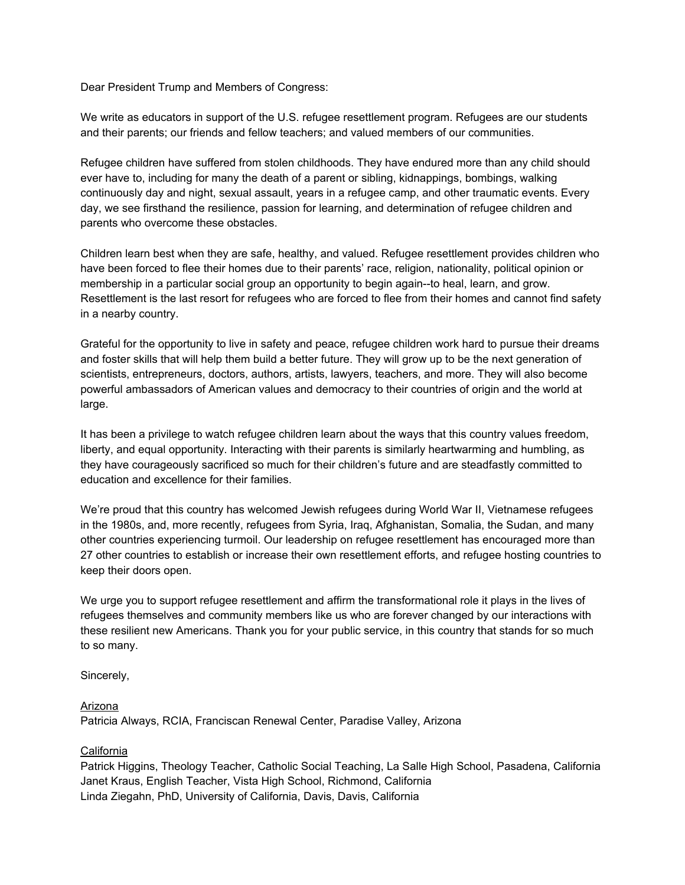Dear President Trump and Members of Congress:

We write as educators in support of the U.S. refugee resettlement program. Refugees are our students and their parents; our friends and fellow teachers; and valued members of our communities.

Refugee children have suffered from stolen childhoods. They have endured more than any child should ever have to, including for many the death of a parent or sibling, kidnappings, bombings, walking continuously day and night, sexual assault, years in a refugee camp, and other traumatic events. Every day, we see firsthand the resilience, passion for learning, and determination of refugee children and parents who overcome these obstacles.

Children learn best when they are safe, healthy, and valued. Refugee resettlement provides children who have been forced to flee their homes due to their parents' race, religion, nationality, political opinion or membership in a particular social group an opportunity to begin again--to heal, learn, and grow. Resettlement is the last resort for refugees who are forced to flee from their homes and cannot find safety in a nearby country.

Grateful for the opportunity to live in safety and peace, refugee children work hard to pursue their dreams and foster skills that will help them build a better future. They will grow up to be the next generation of scientists, entrepreneurs, doctors, authors, artists, lawyers, teachers, and more. They will also become powerful ambassadors of American values and democracy to their countries of origin and the world at large.

It has been a privilege to watch refugee children learn about the ways that this country values freedom, liberty, and equal opportunity. Interacting with their parents is similarly heartwarming and humbling, as they have courageously sacrificed so much for their children's future and are steadfastly committed to education and excellence for their families.

We're proud that this country has welcomed Jewish refugees during World War II, Vietnamese refugees in the 1980s, and, more recently, refugees from Syria, Iraq, Afghanistan, Somalia, the Sudan, and many other countries experiencing turmoil. Our leadership on refugee resettlement has encouraged more than 27 other countries to establish or increase their own resettlement efforts, and refugee hosting countries to keep their doors open.

We urge you to support refugee resettlement and affirm the transformational role it plays in the lives of refugees themselves and community members like us who are forever changed by our interactions with these resilient new Americans. Thank you for your public service, in this country that stands for so much to so many.

Sincerely,

#### Arizona

Patricia Always, RCIA, Franciscan Renewal Center, Paradise Valley, Arizona

## California

Patrick Higgins, Theology Teacher, Catholic Social Teaching, La Salle High School, Pasadena, California Janet Kraus, English Teacher, Vista High School, Richmond, California Linda Ziegahn, PhD, University of California, Davis, Davis, California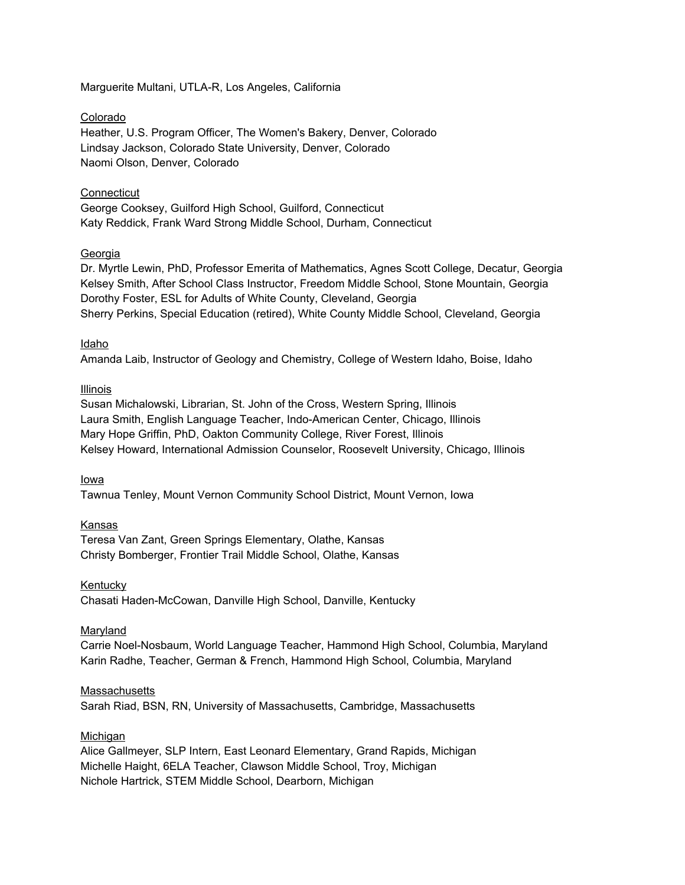Marguerite Multani, UTLA-R, Los Angeles, California

#### Colorado

Heather, U.S. Program Officer, The Women's Bakery, Denver, Colorado Lindsay Jackson, Colorado State University, Denver, Colorado Naomi Olson, Denver, Colorado

## **Connecticut**

George Cooksey, Guilford High School, Guilford, Connecticut Katy Reddick, Frank Ward Strong Middle School, Durham, Connecticut

#### Georgia

Dr. Myrtle Lewin, PhD, Professor Emerita of Mathematics, Agnes Scott College, Decatur, Georgia Kelsey Smith, After School Class Instructor, Freedom Middle School, Stone Mountain, Georgia Dorothy Foster, ESL for Adults of White County, Cleveland, Georgia Sherry Perkins, Special Education (retired), White County Middle School, Cleveland, Georgia

#### Idaho

Amanda Laib, Instructor of Geology and Chemistry, College of Western Idaho, Boise, Idaho

#### Illinois

Susan Michalowski, Librarian, St. John of the Cross, Western Spring, Illinois Laura Smith, English Language Teacher, Indo-American Center, Chicago, Illinois Mary Hope Griffin, PhD, Oakton Community College, River Forest, Illinois Kelsey Howard, International Admission Counselor, Roosevelt University, Chicago, Illinois

#### Iowa

Tawnua Tenley, Mount Vernon Community School District, Mount Vernon, Iowa

## Kansas

Teresa Van Zant, Green Springs Elementary, Olathe, Kansas Christy Bomberger, Frontier Trail Middle School, Olathe, Kansas

#### Kentucky

Chasati Haden-McCowan, Danville High School, Danville, Kentucky

## Maryland

Carrie Noel-Nosbaum, World Language Teacher, Hammond High School, Columbia, Maryland Karin Radhe, Teacher, German & French, Hammond High School, Columbia, Maryland

#### **Massachusetts**

Sarah Riad, BSN, RN, University of Massachusetts, Cambridge, Massachusetts

## Michigan

Alice Gallmeyer, SLP Intern, East Leonard Elementary, Grand Rapids, Michigan Michelle Haight, 6ELA Teacher, Clawson Middle School, Troy, Michigan Nichole Hartrick, STEM Middle School, Dearborn, Michigan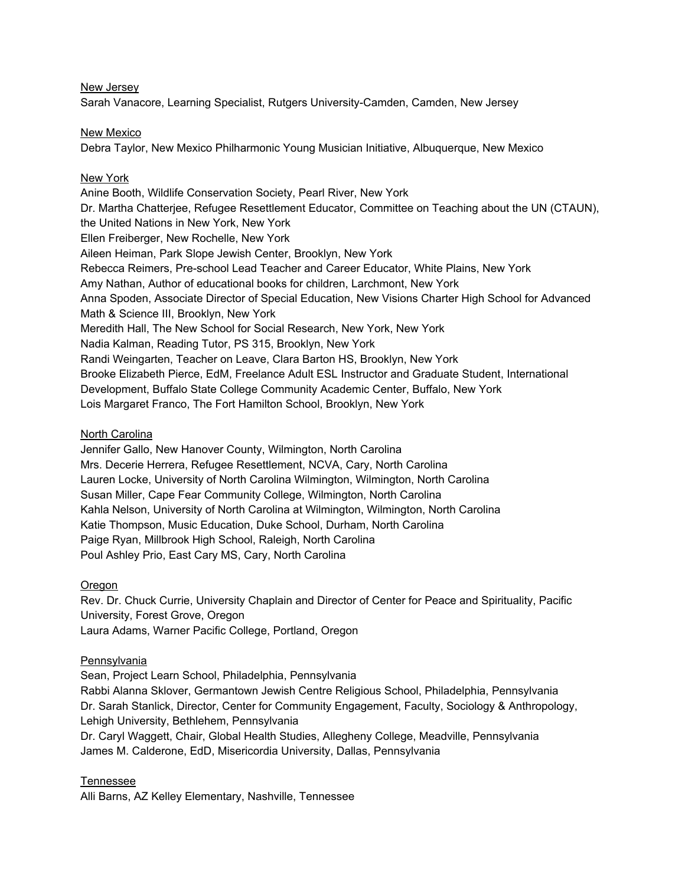New Jersey

Sarah Vanacore, Learning Specialist, Rutgers University-Camden, Camden, New Jersey

New Mexico

Debra Taylor, New Mexico Philharmonic Young Musician Initiative, Albuquerque, New Mexico

## New York

Anine Booth, Wildlife Conservation Society, Pearl River, New York Dr. Martha Chatterjee, Refugee Resettlement Educator, Committee on Teaching about the UN (CTAUN), the United Nations in New York, New York Ellen Freiberger, New Rochelle, New York Aileen Heiman, Park Slope Jewish Center, Brooklyn, New York Rebecca Reimers, Pre-school Lead Teacher and Career Educator, White Plains, New York Amy Nathan, Author of educational books for children, Larchmont, New York Anna Spoden, Associate Director of Special Education, New Visions Charter High School for Advanced Math & Science III, Brooklyn, New York Meredith Hall, The New School for Social Research, New York, New York Nadia Kalman, Reading Tutor, PS 315, Brooklyn, New York Randi Weingarten, Teacher on Leave, Clara Barton HS, Brooklyn, New York Brooke Elizabeth Pierce, EdM, Freelance Adult ESL Instructor and Graduate Student, International Development, Buffalo State College Community Academic Center, Buffalo, New York Lois Margaret Franco, The Fort Hamilton School, Brooklyn, New York

## North Carolina

Jennifer Gallo, New Hanover County, Wilmington, North Carolina Mrs. Decerie Herrera, Refugee Resettlement, NCVA, Cary, North Carolina Lauren Locke, University of North Carolina Wilmington, Wilmington, North Carolina Susan Miller, Cape Fear Community College, Wilmington, North Carolina Kahla Nelson, University of North Carolina at Wilmington, Wilmington, North Carolina Katie Thompson, Music Education, Duke School, Durham, North Carolina Paige Ryan, Millbrook High School, Raleigh, North Carolina Poul Ashley Prio, East Cary MS, Cary, North Carolina

## Oregon

Rev. Dr. Chuck Currie, University Chaplain and Director of Center for Peace and Spirituality, Pacific University, Forest Grove, Oregon Laura Adams, Warner Pacific College, Portland, Oregon

## Pennsylvania

Sean, Project Learn School, Philadelphia, Pennsylvania Rabbi Alanna Sklover, Germantown Jewish Centre Religious School, Philadelphia, Pennsylvania Dr. Sarah Stanlick, Director, Center for Community Engagement, Faculty, Sociology & Anthropology, Lehigh University, Bethlehem, Pennsylvania Dr. Caryl Waggett, Chair, Global Health Studies, Allegheny College, Meadville, Pennsylvania

James M. Calderone, EdD, Misericordia University, Dallas, Pennsylvania

# Tennessee

Alli Barns, AZ Kelley Elementary, Nashville, Tennessee